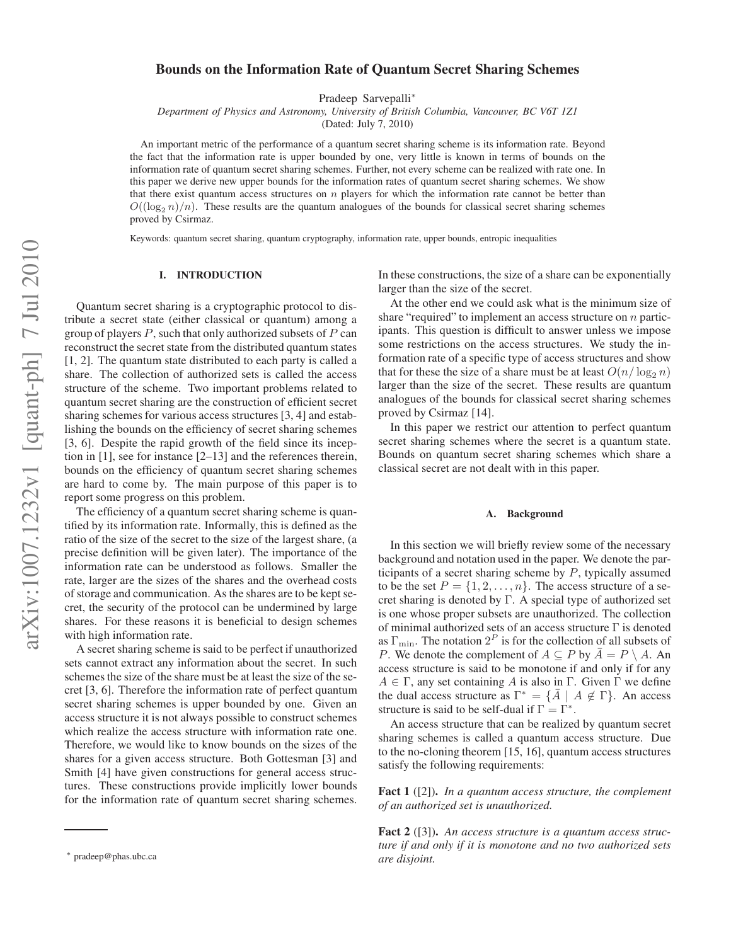# **Bounds on the Information Rate of Quantum Secret Sharing Schemes**

Pradeep Sarvepalli<sup>∗</sup>

*Department of Physics and Astronomy, University of British Columbia, Vancouver, BC V6T 1Z1*

(Dated: July 7, 2010)

An important metric of the performance of a quantum secret sharing scheme is its information rate. Beyond the fact that the information rate is upper bounded by one, very little is known in terms of bounds on the information rate of quantum secret sharing schemes. Further, not every scheme can be realized with rate one. In this paper we derive new upper bounds for the information rates of quantum secret sharing schemes. We show that there exist quantum access structures on  $n$  players for which the information rate cannot be better than  $O((\log_2 n)/n)$ . These results are the quantum analogues of the bounds for classical secret sharing schemes proved by Csirmaz.

Keywords: quantum secret sharing, quantum cryptography, information rate, upper bounds, entropic inequalities

# **I. INTRODUCTION**

Quantum secret sharing is a cryptographic protocol to distribute a secret state (either classical or quantum) among a group of players  $P$ , such that only authorized subsets of  $P$  can reconstruct the secret state from the distributed quantum states [1, 2]. The quantum state distributed to each party is called a share. The collection of authorized sets is called the access structure of the scheme. Two important problems related to quantum secret sharing are the construction of efficient secret sharing schemes for various access structures [3, 4] and establishing the bounds on the efficiency of secret sharing schemes [3, 6]. Despite the rapid growth of the field since its inception in [1], see for instance [2–13] and the references therein, bounds on the efficiency of quantum secret sharing schemes are hard to come by. The main purpose of this paper is to report some progress on this problem.

The efficiency of a quantum secret sharing scheme is quantified by its information rate. Informally, this is defined as the ratio of the size of the secret to the size of the largest share, (a precise definition will be given later). The importance of the information rate can be understood as follows. Smaller the rate, larger are the sizes of the shares and the overhead costs of storage and communication. As the shares are to be kept secret, the security of the protocol can be undermined by large shares. For these reasons it is beneficial to design schemes with high information rate.

A secret sharing scheme is said to be perfect if unauthorized sets cannot extract any information about the secret. In such schemes the size of the share must be at least the size of the secret [3, 6]. Therefore the information rate of perfect quantum secret sharing schemes is upper bounded by one. Given an access structure it is not always possible to construct schemes which realize the access structure with information rate one. Therefore, we would like to know bounds on the sizes of the shares for a given access structure. Both Gottesman [3] and Smith [4] have given constructions for general access structures. These constructions provide implicitly lower bounds for the information rate of quantum secret sharing schemes.

In these constructions, the size of a share can be exponentially larger than the size of the secret.

At the other end we could ask what is the minimum size of share "required" to implement an access structure on  $n$  participants. This question is difficult to answer unless we impose some restrictions on the access structures. We study the information rate of a specific type of access structures and show that for these the size of a share must be at least  $O(n/\log_2 n)$ larger than the size of the secret. These results are quantum analogues of the bounds for classical secret sharing schemes proved by Csirmaz [14].

In this paper we restrict our attention to perfect quantum secret sharing schemes where the secret is a quantum state. Bounds on quantum secret sharing schemes which share a classical secret are not dealt with in this paper.

#### **A. Background**

In this section we will briefly review some of the necessary background and notation used in the paper. We denote the participants of a secret sharing scheme by  $P$ , typically assumed to be the set  $P = \{1, 2, ..., n\}$ . The access structure of a secret sharing is denoted by Γ. A special type of authorized set is one whose proper subsets are unauthorized. The collection of minimal authorized sets of an access structure Γ is denoted as  $\Gamma_{\text{min}}$ . The notation  $2^P$  is for the collection of all subsets of *P*. We denote the complement of  $A \subseteq P$  by  $\overline{A} = P \setminus A$ . An access structure is said to be monotone if and only if for any  $A \in \Gamma$ , any set containing A is also in  $\Gamma$ . Given  $\Gamma$  we define the dual access structure as  $\Gamma^* = \{ \bar{A} \mid A \notin \Gamma \}$ . An access structure is said to be self-dual if  $\Gamma = \Gamma^*$ .

An access structure that can be realized by quantum secret sharing schemes is called a quantum access structure. Due to the no-cloning theorem [15, 16], quantum access structures satisfy the following requirements:

**Fact 1** ([2])**.** *In a quantum access structure, the complement of an authorized set is unauthorized.*

**Fact 2** ([3])**.** *An access structure is a quantum access structure if and only if it is monotone and no two authorized sets are disjoint.*

<sup>∗</sup> pradeep@phas.ubc.ca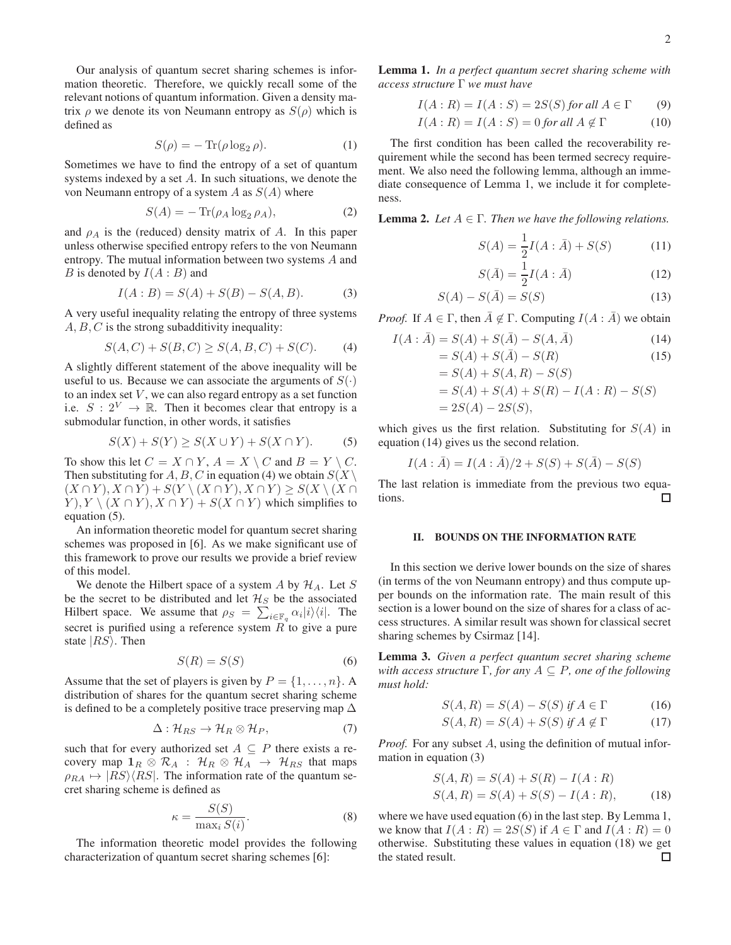Our analysis of quantum secret sharing schemes is information theoretic. Therefore, we quickly recall some of the relevant notions of quantum information. Given a density matrix  $\rho$  we denote its von Neumann entropy as  $S(\rho)$  which is defined as

$$
S(\rho) = -\operatorname{Tr}(\rho \log_2 \rho). \tag{1}
$$

Sometimes we have to find the entropy of a set of quantum systems indexed by a set A. In such situations, we denote the von Neumann entropy of a system A as  $S(A)$  where

$$
S(A) = -\operatorname{Tr}(\rho_A \log_2 \rho_A),\tag{2}
$$

and  $\rho_A$  is the (reduced) density matrix of A. In this paper unless otherwise specified entropy refers to the von Neumann entropy. The mutual information between two systems A and B is denoted by  $I(A : B)$  and

$$
I(A:B) = S(A) + S(B) - S(A, B). \tag{3}
$$

A very useful inequality relating the entropy of three systems  $A, B, C$  is the strong subadditivity inequality:

$$
S(A, C) + S(B, C) \ge S(A, B, C) + S(C). \tag{4}
$$

A slightly different statement of the above inequality will be useful to us. Because we can associate the arguments of  $S(\cdot)$ to an index set  $V$ , we can also regard entropy as a set function i.e.  $S: 2^V \rightarrow \mathbb{R}$ . Then it becomes clear that entropy is a submodular function, in other words, it satisfies

$$
S(X) + S(Y) \ge S(X \cup Y) + S(X \cap Y). \tag{5}
$$

To show this let  $C = X \cap Y$ ,  $A = X \setminus C$  and  $B = Y \setminus C$ . Then substituting for A, B, C in equation (4) we obtain  $S(X)$  $(X \cap Y), X \cap Y) + S(Y \setminus (X \cap Y), X \cap Y) \geq S(X \setminus (X \cap Y))$  $Y$ ,  $Y \setminus (X \cap Y)$ ,  $X \cap Y$  +  $S(X \cap Y)$  which simplifies to equation (5).

An information theoretic model for quantum secret sharing schemes was proposed in [6]. As we make significant use of this framework to prove our results we provide a brief review of this model.

We denote the Hilbert space of a system A by  $\mathcal{H}_A$ . Let S be the secret to be distributed and let  $\mathcal{H}_S$  be the associated Hilbert space. We assume that  $\rho_S = \sum_{i \in \mathbb{F}_q} \alpha_i |i\rangle\langle i|$ . The secret is purified using a reference system  $R$  to give a pure state  $|RS\rangle$ . Then

$$
S(R) = S(S) \tag{6}
$$

Assume that the set of players is given by  $P = \{1, \ldots, n\}$ . distribution of shares for the quantum secret sharing scheme is defined to be a completely positive trace preserving map  $\Delta$ 

$$
\Delta: \mathcal{H}_{RS} \to \mathcal{H}_R \otimes \mathcal{H}_P,\tag{7}
$$

such that for every authorized set  $A \subseteq P$  there exists a recovery map  $1_R \otimes \mathcal{R}_A$ :  $\mathcal{H}_R \otimes \mathcal{H}_A \rightarrow \mathcal{H}_{RS}$  that maps  $\rho_{RA} \mapsto |RS\rangle\langle RS|$ . The information rate of the quantum secret sharing scheme is defined as

$$
\kappa = \frac{S(S)}{\max_i S(i)}.\tag{8}
$$

The information theoretic model provides the following characterization of quantum secret sharing schemes [6]:

**Lemma 1.** *In a perfect quantum secret sharing scheme with access structure* Γ *we must have*

$$
I(A:R) = I(A:S) = 2S(S) \text{ for all } A \in \Gamma \qquad (9)
$$

$$
I(A:R) = I(A:S) = 0 \text{ for all } A \notin \Gamma \tag{10}
$$

The first condition has been called the recoverability requirement while the second has been termed secrecy requirement. We also need the following lemma, although an immediate consequence of Lemma 1, we include it for completeness.

**Lemma 2.** *Let*  $A \in \Gamma$ *. Then we have the following relations.* 

$$
S(A) = \frac{1}{2}I(A:\bar{A}) + S(S)
$$
 (11)

$$
S(\bar{A}) = \frac{1}{2}I(A:\bar{A})
$$
 (12)

$$
S(A) - S(\bar{A}) = S(S) \tag{13}
$$

*Proof.* If  $A \in \Gamma$ , then  $\overline{A} \notin \Gamma$ . Computing  $I(A : \overline{A})$  we obtain

$$
I(A: \bar{A}) = S(A) + S(\bar{A}) - S(A, \bar{A})
$$
\n
$$
= S(A) + S(\bar{A}) - S(R)
$$
\n(14)

$$
= S(A) + S(A, R) - S(S)
$$
  
= S(A) + S(A) + S(R) - I(A: R) - S(S)  
= 2S(A) - 2S(S),

which gives us the first relation. Substituting for  $S(A)$  in equation (14) gives us the second relation.

$$
I(A : \bar{A}) = I(A : \bar{A})/2 + S(S) + S(\bar{A}) - S(S)
$$

The last relation is immediate from the previous two equations. □

## **II. BOUNDS ON THE INFORMATION RATE**

In this section we derive lower bounds on the size of shares (in terms of the von Neumann entropy) and thus compute upper bounds on the information rate. The main result of this section is a lower bound on the size of shares for a class of access structures. A similar result was shown for classical secret sharing schemes by Csirmaz [14].

**Lemma 3.** *Given a perfect quantum secret sharing scheme with access structure* Γ*, for any* A ⊆ P*, one of the following must hold:*

$$
S(A, R) = S(A) - S(S) \text{ if } A \in \Gamma \tag{16}
$$

$$
S(A,R) = S(A) + S(S) \text{ if } A \notin \Gamma \tag{17}
$$

*Proof.* For any subset A, using the definition of mutual information in equation (3)

$$
S(A, R) = S(A) + S(R) - I(A: R)
$$
  
\n
$$
S(A, R) = S(A) + S(S) - I(A: R),
$$
\n(18)

where we have used equation (6) in the last step. By Lemma 1, we know that  $I(A: R) = 2S(S)$  if  $A \in \Gamma$  and  $I(A: R) = 0$ otherwise. Substituting these values in equation (18) we get the stated result. $\Box$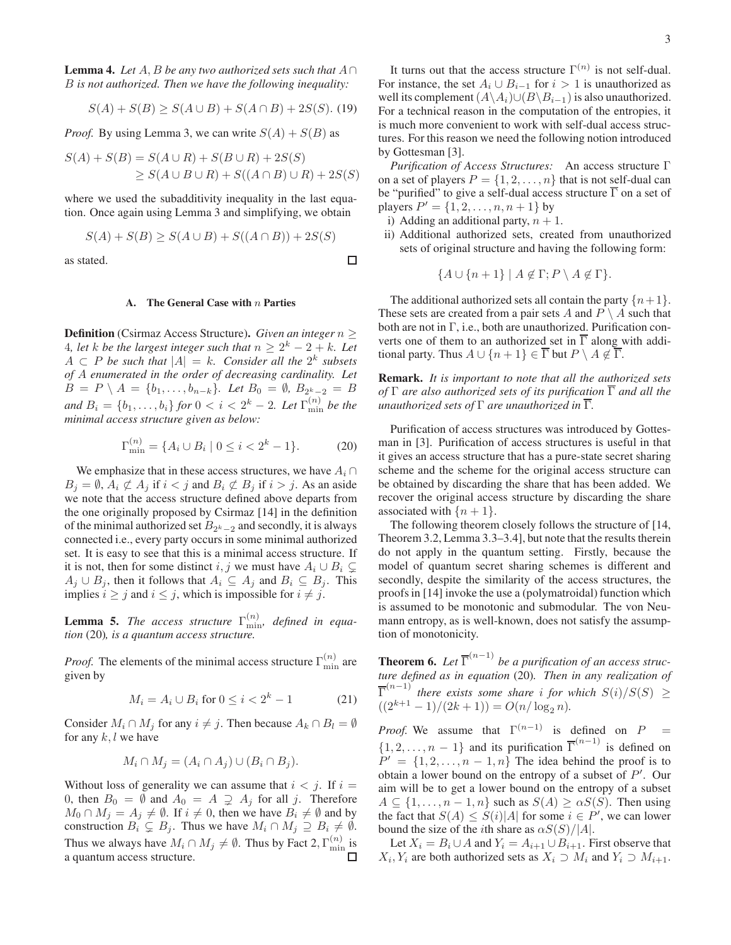$$
S(A) + S(B) \ge S(A \cup B) + S(A \cap B) + 2S(S). \tag{19}
$$

*Proof.* By using Lemma 3, we can write  $S(A) + S(B)$  as

$$
S(A) + S(B) = S(A \cup R) + S(B \cup R) + 2S(S)
$$
  
\n
$$
\geq S(A \cup B \cup R) + S((A \cap B) \cup R) + 2S(S)
$$

where we used the subadditivity inequality in the last equation. Once again using Lemma 3 and simplifying, we obtain

$$
S(A) + S(B) \ge S(A \cup B) + S((A \cap B)) + 2S(S)
$$

as stated.

## **A. The General Case with** n **Parties**

**Definition** (Csirmaz Access Structure)**.** *Given an integer* n ≥ 4, let k be the largest integer such that  $n \geq 2^k - 2 + k$ . Let  $A \subset P$  be such that  $|A| = k$ . Consider all the  $2^k$  subsets *of* A *enumerated in the order of decreasing cardinality. Let*  $B = P \setminus A = \{b_1, \ldots, b_{n-k}\}.$  Let  $B_0 = \emptyset$ ,  $B_{2^k-2} = B$ *and*  $B_i = \{b_1, ..., b_i\}$  for  $0 < i < 2^k - 2$ . Let  $\Gamma_{\min}^{(n)}$  be the *minimal access structure given as below:*

$$
\Gamma_{\min}^{(n)} = \{ A_i \cup B_i \mid 0 \le i < 2^k - 1 \}. \tag{20}
$$

We emphasize that in these access structures, we have  $A_i \cap$  $B_j = \emptyset$ ,  $A_i \not\subset A_j$  if  $i < j$  and  $B_i \not\subset B_j$  if  $i > j$ . As an aside we note that the access structure defined above departs from the one originally proposed by Csirmaz [14] in the definition of the minimal authorized set  $B_{2^k-2}$  and secondly, it is always connected i.e., every party occurs in some minimal authorized set. It is easy to see that this is a minimal access structure. If it is not, then for some distinct i, j we must have  $A_i \cup B_i \subsetneq$  $A_j \cup B_j$ , then it follows that  $A_i \subseteq A_j$  and  $B_i \subseteq B_j$ . This implies  $i \geq j$  and  $i \leq j$ , which is impossible for  $i \neq j$ .

**Lemma 5.** *The access structure*  $\Gamma_{\min}^{(n)}$ , *defined in equation* (20)*, is a quantum access structure.*

*Proof.* The elements of the minimal access structure  $\Gamma_{\min}^{(n)}$  are given by

$$
M_i = A_i \cup B_i \text{ for } 0 \le i < 2^k - 1 \tag{21}
$$

Consider  $M_i \cap M_j$  for any  $i \neq j$ . Then because  $A_k \cap B_l = \emptyset$ for any  $k, l$  we have

$$
M_i \cap M_j = (A_i \cap A_j) \cup (B_i \cap B_j).
$$

Without loss of generality we can assume that  $i < j$ . If  $i =$ 0, then  $B_0 = \emptyset$  and  $A_0 = A \supsetneq A_j$  for all j. Therefore  $M_0 \cap M_j = A_j \neq \emptyset$ . If  $i \neq 0$ , then we have  $B_i \neq \emptyset$  and by construction  $B_i \subsetneq B_j$ . Thus we have  $M_i \cap M_j \supseteq B_i \neq \emptyset$ . Thus we always have  $M_i \cap M_j \neq \emptyset$ . Thus by Fact 2,  $\Gamma_{\min}^{(n)}$  is a quantum access structure.

It turns out that the access structure  $\Gamma^{(n)}$  is not self-dual. For instance, the set  $A_i \cup B_{i-1}$  for  $i > 1$  is unauthorized as well its complement  $(A\setminus A_i) \cup (B\setminus B_{i-1})$  is also unauthorized. For a technical reason in the computation of the entropies, it is much more convenient to work with self-dual access structures. For this reason we need the following notion introduced by Gottesman [3].

*Purification of Access Structures:* An access structure Γ on a set of players  $P = \{1, 2, ..., n\}$  that is not self-dual can be "purified" to give a self-dual access structure  $\overline{\Gamma}$  on a set of players  $P' = \{1, 2, ..., n, n + 1\}$  by

- i) Adding an additional party,  $n + 1$ .
- ii) Additional authorized sets, created from unauthorized sets of original structure and having the following form:

$$
\{A \cup \{n+1\} \mid A \notin \Gamma; P \setminus A \notin \Gamma\}.
$$

The additional authorized sets all contain the party  $\{n+1\}$ . These sets are created from a pair sets A and  $P \setminus A$  such that both are not in Γ, i.e., both are unauthorized. Purification converts one of them to an authorized set in  $\overline{\Gamma}$  along with additional party. Thus  $A \cup \{n+1\} \in \overline{\Gamma}$  but  $P \setminus A \notin \overline{\Gamma}$ .

**Remark.** *It is important to note that all the authorized sets of* Γ *are also authorized sets of its purification* Γ *and all the unauthorized sets of*  $\Gamma$  *are unauthorized in*  $\overline{\Gamma}$ *.* 

Purification of access structures was introduced by Gottesman in [3]. Purification of access structures is useful in that it gives an access structure that has a pure-state secret sharing scheme and the scheme for the original access structure can be obtained by discarding the share that has been added. We recover the original access structure by discarding the share associated with  $\{n+1\}$ .

The following theorem closely follows the structure of [14, Theorem 3.2, Lemma 3.3–3.4], but note that the results therein do not apply in the quantum setting. Firstly, because the model of quantum secret sharing schemes is different and secondly, despite the similarity of the access structures, the proofs in [14] invoke the use a (polymatroidal) function which is assumed to be monotonic and submodular. The von Neumann entropy, as is well-known, does not satisfy the assumption of monotonicity.

**Theorem 6.** Let  $\overline{\Gamma}^{(n-1)}$  be a purification of an access struc*ture defined as in equation* (20)*. Then in any realization of*  $\overline{\Gamma}^{(n-1)}$  *there exists some share i for which*  $S(i)/S(S)$  ≥  $((2^{k+1}-1)/(2k+1)) = O(n/\log_2 n).$ 

*Proof.* We assume that  $\Gamma^{(n-1)}$  is defined on  $P =$  $\{1, 2, \ldots, n-1\}$  and its purification  $\overline{\Gamma}^{(n-1)}$  is defined on  $P' = \{1, 2, \ldots, n-1, n\}$  The idea behind the proof is to obtain a lower bound on the entropy of a subset of  $P'$ . Our aim will be to get a lower bound on the entropy of a subset  $A \subseteq \{1, \ldots, n-1, n\}$  such as  $S(A) \geq \alpha S(S)$ . Then using the fact that  $S(A) \leq S(i)|A|$  for some  $i \in P'$ , we can lower bound the size of the *i*th share as  $\alpha S(S)/|A|$ .

Let  $X_i = B_i \cup A$  and  $Y_i = A_{i+1} \cup B_{i+1}$ . First observe that  $X_i, Y_i$  are both authorized sets as  $X_i \supset M_i$  and  $Y_i \supset M_{i+1}$ .

□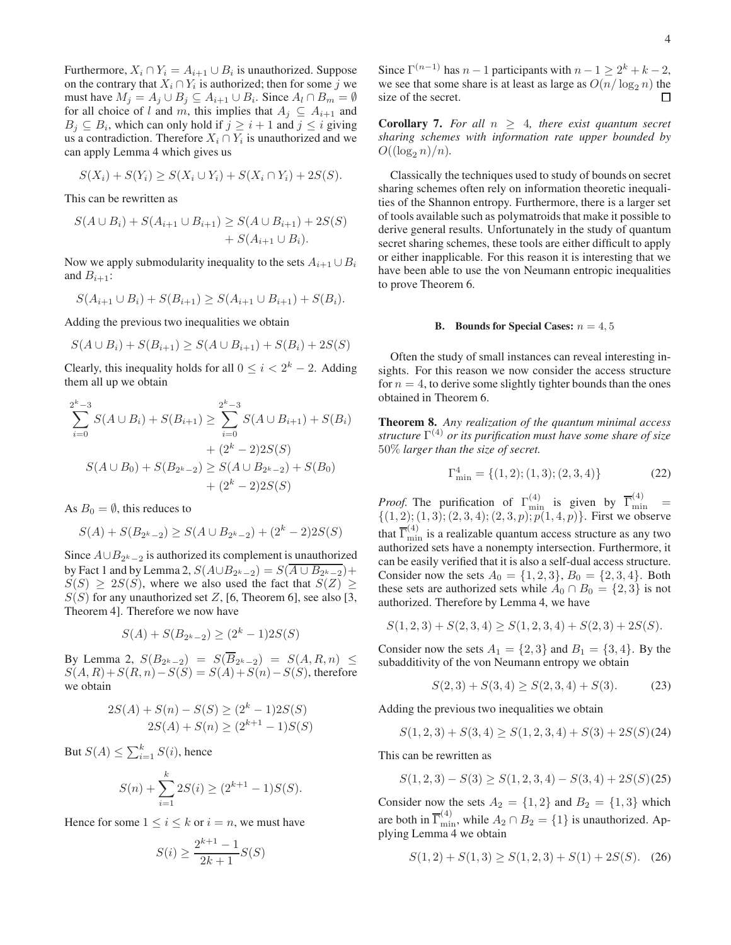Furthermore,  $X_i \cap Y_i = A_{i+1} \cup B_i$  is unauthorized. Suppose on the contrary that  $X_i \cap Y_i$  is authorized; then for some j we must have  $M_j = A_j \cup B_j \subseteq A_{i+1} \cup B_i$ . Since  $A_l \cap B_m = \emptyset$ for all choice of l and m, this implies that  $A_i \subseteq A_{i+1}$  and  $B_j \subseteq B_i$ , which can only hold if  $j \geq i + 1$  and  $j \leq i$  giving us a contradiction. Therefore  $X_i \cap Y_i$  is unauthorized and we can apply Lemma 4 which gives us

$$
S(X_i) + S(Y_i) \ge S(X_i \cup Y_i) + S(X_i \cap Y_i) + 2S(S).
$$

This can be rewritten as

$$
S(A \cup B_i) + S(A_{i+1} \cup B_{i+1}) \geq S(A \cup B_{i+1}) + 2S(S) + S(A_{i+1} \cup B_i).
$$

Now we apply submodularity inequality to the sets  $A_{i+1} \cup B_i$ and  $B_{i+1}$ :

$$
S(A_{i+1} \cup B_i) + S(B_{i+1}) \geq S(A_{i+1} \cup B_{i+1}) + S(B_i).
$$

Adding the previous two inequalities we obtain

$$
S(A \cup B_i) + S(B_{i+1}) \ge S(A \cup B_{i+1}) + S(B_i) + 2S(S)
$$

Clearly, this inequality holds for all  $0 \le i < 2^k - 2$ . Adding them all up we obtain

$$
\sum_{i=0}^{2^{k}-3} S(A \cup B_{i}) + S(B_{i+1}) \geq \sum_{i=0}^{2^{k}-3} S(A \cup B_{i+1}) + S(B_{i}) + (2^{k}-2)2S(S) + (2^{k}-2)2S(S) + S(B_{0}) + S(B_{2^{k}-2}) + S(B_{0}) + (2^{k}-2)2S(S)
$$

As  $B_0 = \emptyset$ , this reduces to

$$
S(A) + S(B_{2^k - 2}) \ge S(A \cup B_{2^k - 2}) + (2^k - 2)2S(S)
$$

Since  $A \cup B_{2^k-2}$  is authorized its complement is unauthorized by Fact 1 and by Lemma 2,  $S(A \cup B_{2^k-2}) = S(A \cup B_{2^k-2}) +$  $S(S) \geq 2S(S)$ , where we also used the fact that  $S(Z) \geq$  $S(S)$  for any unauthorized set Z, [6, Theorem 6], see also [3, Theorem 4]. Therefore we now have

$$
S(A) + S(B_{2^k - 2}) \ge (2^k - 1)2S(S)
$$

By Lemma 2,  $S(B_{2^k-2}) = S(B_{2^k-2}) = S(A, R, n) \le$  $S(A, R) + S(R, n) - S(S) = S(A) + S(n) - S(S)$ , therefore we obtain

$$
2S(A) + S(n) - S(S) \ge (2k - 1)2S(S)
$$
  

$$
2S(A) + S(n) \ge (2k+1 - 1)S(S)
$$

But  $S(A) \leq \sum_{i=1}^{k} S(i)$ , hence

$$
S(n) + \sum_{i=1}^{k} 2S(i) \ge (2^{k+1} - 1)S(S).
$$

Hence for some  $1 \le i \le k$  or  $i = n$ , we must have

$$
S(i) \ge \frac{2^{k+1} - 1}{2k + 1} S(S)
$$

Since  $\Gamma^{(n-1)}$  has  $n-1$  participants with  $n-1 \geq 2^k + k - 2$ , we see that some share is at least as large as  $O(n/\log_2 n)$  the size of the secret size of the secret.

**Corollary 7.** *For all*  $n \geq 4$ *, there exist quantum secret sharing schemes with information rate upper bounded by*  $O((\log_2 n)/n)$ .

Classically the techniques used to study of bounds on secret sharing schemes often rely on information theoretic inequalities of the Shannon entropy. Furthermore, there is a larger set of tools available such as polymatroids that make it possible to derive general results. Unfortunately in the study of quantum secret sharing schemes, these tools are either difficult to apply or either inapplicable. For this reason it is interesting that we have been able to use the von Neumann entropic inequalities to prove Theorem 6.

#### **B.** Bounds for Special Cases:  $n = 4, 5$

Often the study of small instances can reveal interesting insights. For this reason we now consider the access structure for  $n = 4$ , to derive some slightly tighter bounds than the ones obtained in Theorem 6.

**Theorem 8.** *Any realization of the quantum minimal access structure* Γ (4) *or its purification must have some share of size* 50% *larger than the size of secret.*

$$
\Gamma_{\min}^4 = \{ (1, 2); (1, 3); (2, 3, 4) \}
$$
 (22)

*Proof.* The purification of  $\Gamma^{(4)}_{\text{min}}$  is given by  $\overline{\Gamma}^{(4)}_{\text{min}}$  =  $\{(1, 2); (1, 3); (2, 3, 4); (2, 3, p); p(1, 4, p)\}.$  First we observe that  $\overline{\Gamma}_{\min}^{(4)}$  is a realizable quantum access structure as any two authorized sets have a nonempty intersection. Furthermore, it can be easily verified that it is also a self-dual access structure. Consider now the sets  $A_0 = \{1, 2, 3\}, B_0 = \{2, 3, 4\}.$  Both these sets are authorized sets while  $A_0 \cap B_0 = \{2,3\}$  is not authorized. Therefore by Lemma 4, we have

$$
S(1,2,3) + S(2,3,4) \ge S(1,2,3,4) + S(2,3) + 2S(S).
$$

Consider now the sets  $A_1 = \{2,3\}$  and  $B_1 = \{3,4\}$ . By the subadditivity of the von Neumann entropy we obtain

$$
S(2,3) + S(3,4) \ge S(2,3,4) + S(3). \tag{23}
$$

Adding the previous two inequalities we obtain

$$
S(1,2,3) + S(3,4) \ge S(1,2,3,4) + S(3) + 2S(S)(24)
$$

This can be rewritten as

$$
S(1,2,3) - S(3) \ge S(1,2,3,4) - S(3,4) + 2S(S)(25)
$$

Consider now the sets  $A_2 = \{1, 2\}$  and  $B_2 = \{1, 3\}$  which are both in  $\overline{\Gamma}_{\min}^{(4)}$ , while  $A_2 \cap B_2 = \{1\}$  is unauthorized. Applying Lemma 4 we obtain

$$
S(1,2) + S(1,3) \ge S(1,2,3) + S(1) + 2S(S). \tag{26}
$$